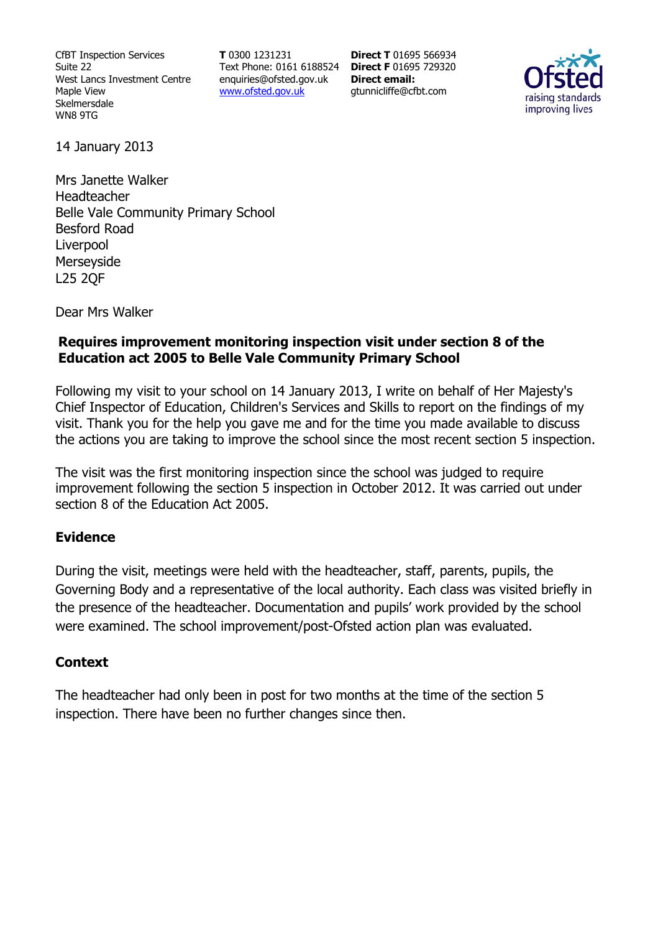CfBT Inspection Services Suite 22 West Lancs Investment Centre Maple View Skelmersdale WN8 9TG

**T** 0300 1231231 Text Phone: 0161 6188524 **Direct F** 01695 729320 enquiries@ofsted.gov.uk www.ofsted.gov.uk

**Direct T** 01695 566934 **Direct email:**  gtunnicliffe@cfbt.com



14 January 2013

Mrs Janette Walker Headteacher Belle Vale Community Primary School Besford Road Liverpool Merseyside L25 2QF

Dear Mrs Walker

### **Requires improvement monitoring inspection visit under section 8 of the Education act 2005 to Belle Vale Community Primary School**

Following my visit to your school on 14 January 2013, I write on behalf of Her Majesty's Chief Inspector of Education, Children's Services and Skills to report on the findings of my visit. Thank you for the help you gave me and for the time you made available to discuss the actions you are taking to improve the school since the most recent section 5 inspection.

The visit was the first monitoring inspection since the school was judged to require improvement following the section 5 inspection in October 2012. It was carried out under section 8 of the Education Act 2005.

### **Evidence**

During the visit, meetings were held with the headteacher, staff, parents, pupils, the Governing Body and a representative of the local authority. Each class was visited briefly in the presence of the headteacher. Documentation and pupils' work provided by the school were examined. The school improvement/post-Ofsted action plan was evaluated.

### **Context**

The headteacher had only been in post for two months at the time of the section 5 inspection. There have been no further changes since then.